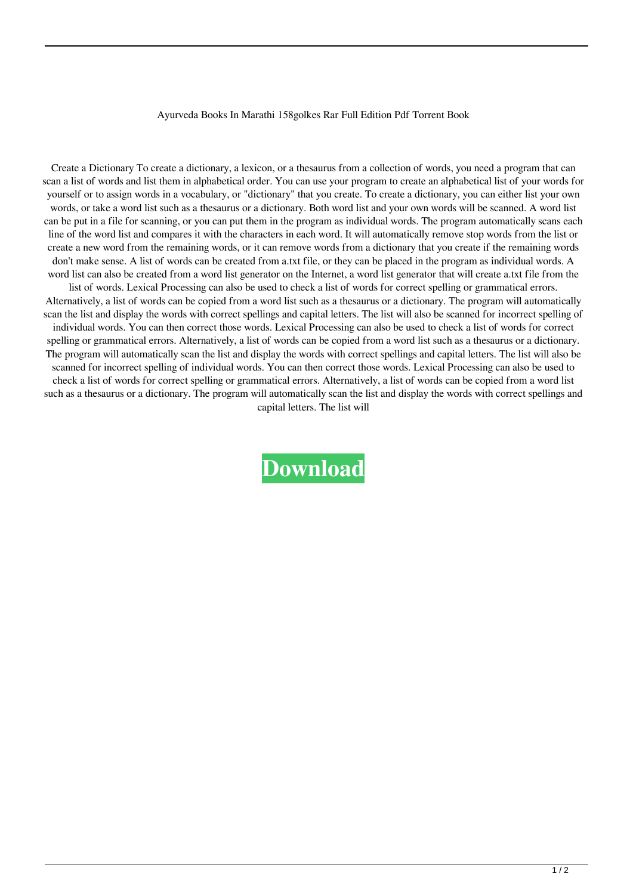## Ayurveda Books In Marathi 158golkes Rar Full Edition Pdf Torrent Book

Create a Dictionary To create a dictionary, a lexicon, or a thesaurus from a collection of words, you need a program that can scan a list of words and list them in alphabetical order. You can use your program to create an alphabetical list of your words for yourself or to assign words in a vocabulary, or "dictionary" that you create. To create a dictionary, you can either list your own words, or take a word list such as a thesaurus or a dictionary. Both word list and your own words will be scanned. A word list can be put in a file for scanning, or you can put them in the program as individual words. The program automatically scans each line of the word list and compares it with the characters in each word. It will automatically remove stop words from the list or create a new word from the remaining words, or it can remove words from a dictionary that you create if the remaining words don't make sense. A list of words can be created from a.txt file, or they can be placed in the program as individual words. A word list can also be created from a word list generator on the Internet, a word list generator that will create a.txt file from the list of words. Lexical Processing can also be used to check a list of words for correct spelling or grammatical errors. Alternatively, a list of words can be copied from a word list such as a thesaurus or a dictionary. The program will automatically scan the list and display the words with correct spellings and capital letters. The list will also be scanned for incorrect spelling of individual words. You can then correct those words. Lexical Processing can also be used to check a list of words for correct

spelling or grammatical errors. Alternatively, a list of words can be copied from a word list such as a thesaurus or a dictionary. The program will automatically scan the list and display the words with correct spellings and capital letters. The list will also be scanned for incorrect spelling of individual words. You can then correct those words. Lexical Processing can also be used to check a list of words for correct spelling or grammatical errors. Alternatively, a list of words can be copied from a word list such as a thesaurus or a dictionary. The program will automatically scan the list and display the words with correct spellings and capital letters. The list will

**[Download](http://evacdir.com/YXl1cnZlZGEgYm9va3MgaW4gbWFyYXRoaSBwZGYgZnJlZSAxNThnb2xrZXMYXl/pathogenically=sunprecautions.ZG93bmxvYWR8WVQzTW05MVkzeDhNVFkxTWpjME1EZzJObng4TWpVM05IeDhLRTBwSUhKbFlXUXRZbXh2WnlCYlJtRnpkQ0JIUlU1ZA.qutab.hills)**